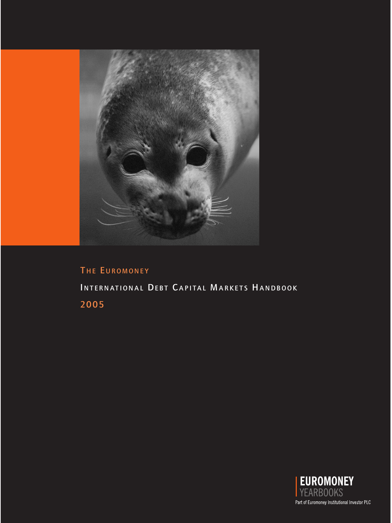

# THE EUROMONEY INTERNATIONAL DEBT CAPITAL MARKETS HANDBOOK 2005

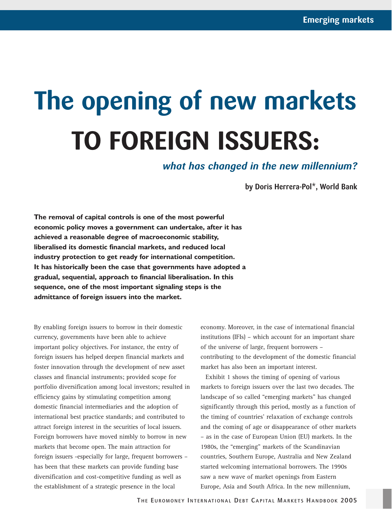# **The opening of new markets TO FOREIGN ISSUERS:**

*what has changed in the new millennium?*

**by Doris Herrera-Pol\*, World Bank** 

**The removal of capital controls is one of the most powerful economic policy moves a government can undertake, after it has achieved a reasonable degree of macroeconomic stability, liberalised its domestic financial markets, and reduced local industry protection to get ready for international competition. It has historically been the case that governments have adopted a gradual, sequential, approach to financial liberalisation. In this sequence, one of the most important signaling steps is the admittance of foreign issuers into the market.** 

By enabling foreign issuers to borrow in their domestic currency, governments have been able to achieve important policy objectives. For instance, the entry of foreign issuers has helped deepen financial markets and foster innovation through the development of new asset classes and financial instruments; provided scope for portfolio diversification among local investors; resulted in efficiency gains by stimulating competition among domestic financial intermediaries and the adoption of international best practice standards; and contributed to attract foreign interest in the securities of local issuers. Foreign borrowers have moved nimbly to borrow in new markets that become open. The main attraction for foreign issuers -especially for large, frequent borrowers – has been that these markets can provide funding base diversification and cost-competitive funding as well as the establishment of a strategic presence in the local

economy. Moreover, in the case of international financial institutions (IFIs) – which account for an important share of the universe of large, frequent borrowers – contributing to the development of the domestic financial market has also been an important interest.

Exhibit 1 shows the timing of opening of various markets to foreign issuers over the last two decades. The landscape of so called "emerging markets" has changed significantly through this period, mostly as a function of the timing of countries' relaxation of exchange controls and the coming of age or disappearance of other markets – as in the case of European Union (EU) markets. In the 1980s, the "emerging" markets of the Scandinavian countries, Southern Europe, Australia and New Zealand started welcoming international borrowers. The 1990s saw a new wave of market openings from Eastern Europe, Asia and South Africa. In the new millennium,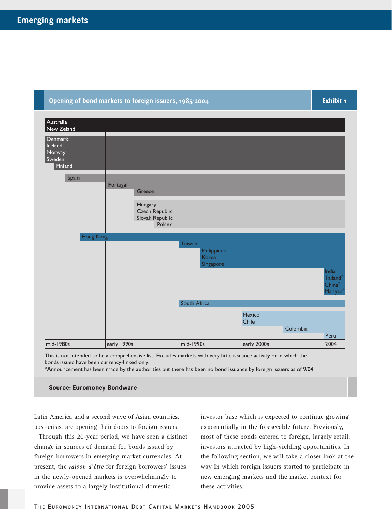# **Opening of bond markets to foreign issuers, 1985-2004**

**Exhibit 1**

| Australia<br>New Zeland                           |             |                                                        |                                   |                 |          |                                            |
|---------------------------------------------------|-------------|--------------------------------------------------------|-----------------------------------|-----------------|----------|--------------------------------------------|
| Denmark<br>Ireland<br>Norway<br>Sweden<br>Finland |             |                                                        |                                   |                 |          |                                            |
| Spain                                             | Portugal    | Greece                                                 |                                   |                 |          |                                            |
|                                                   |             | Hungary<br>Czech Republic<br>Slovak Republic<br>Poland |                                   |                 |          |                                            |
| Hong Kong                                         |             |                                                        | Taiwan                            |                 |          |                                            |
|                                                   |             |                                                        | Philippines<br>Korea<br>Singapore |                 |          |                                            |
|                                                   |             |                                                        |                                   |                 |          | India<br>Tailand*<br>$China^*$<br>Malaysia |
|                                                   |             |                                                        | South Africa                      |                 |          |                                            |
|                                                   |             |                                                        |                                   | Mexico<br>Chile |          |                                            |
|                                                   |             |                                                        |                                   |                 | Colombia | Peru                                       |
| mid-1980s                                         | early 1990s |                                                        | mid-1990s                         | early 2000s     |          | 2004                                       |

This is not intended to be a comprehensive list. Excludes markets with very little issuance activity or in which the bonds issued have been currency-linked only.

\*Announcement has been made by the authorities but there has been no bond issuance by foreign issuers as of 9/04

#### **Source: Euromoney Bondware**

Latin America and a second wave of Asian countries, post-crisis, are opening their doors to foreign issuers.

Through this 20-year period, we have seen a distinct change in sources of demand for bonds issued by foreign borrowers in emerging market currencies. At present, the *raison d'être* for foreign borrowers' issues in the newly-opened markets is overwhelmingly to provide assets to a largely institutional domestic

investor base which is expected to continue growing exponentially in the foreseeable future. Previously, most of these bonds catered to foreign, largely retail, investors attracted by high-yielding opportunities. In the following section, we will take a closer look at the way in which foreign issuers started to participate in new emerging markets and the market context for these activities.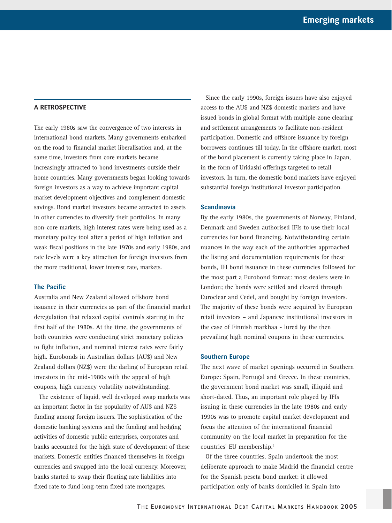# **A RETROSPECTIVE**

The early 1980s saw the convergence of two interests in international bond markets. Many governments embarked on the road to financial market liberalisation and, at the same time, investors from core markets became increasingly attracted to bond investments outside their home countries. Many governments began looking towards foreign investors as a way to achieve important capital market development objectives and complement domestic savings. Bond market investors became attracted to assets in other currencies to diversify their portfolios. In many non-core markets, high interest rates were being used as a monetary policy tool after a period of high inflation and weak fiscal positions in the late 1970s and early 1980s, and rate levels were a key attraction for foreign investors from the more traditional, lower interest rate, markets.

# **The Pacific**

Australia and New Zealand allowed offshore bond issuance in their currencies as part of the financial market deregulation that relaxed capital controls starting in the first half of the 1980s. At the time, the governments of both countries were conducting strict monetary policies to fight inflation, and nominal interest rates were fairly high. Eurobonds in Australian dollars (AU\$) and New Zealand dollars (NZ\$) were the darling of European retail investors in the mid-1980s with the appeal of high coupons, high currency volatility notwithstanding.

The existence of liquid, well developed swap markets was an important factor in the popularity of AU\$ and NZ\$ funding among foreign issuers. The sophistication of the domestic banking systems and the funding and hedging activities of domestic public enterprises, corporates and banks accounted for the high state of development of these markets. Domestic entities financed themselves in foreign currencies and swapped into the local currency. Moreover, banks started to swap their floating rate liabilities into fixed rate to fund long-term fixed rate mortgages.

Since the early 1990s, foreign issuers have also enjoyed access to the AU\$ and NZ\$ domestic markets and have issued bonds in global format with multiple-zone clearing and settlement arrangements to facilitate non-resident participation. Domestic and offshore issuance by foreign borrowers continues till today. In the offshore market, most of the bond placement is currently taking place in Japan, in the form of Uridashi offerings targeted to retail investors. In turn, the domestic bond markets have enjoyed substantial foreign institutional investor participation.

#### **Scandinavia**

By the early 1980s, the governments of Norway, Finland, Denmark and Sweden authorised IFIs to use their local currencies for bond financing. Notwithstanding certain nuances in the way each of the authorities approached the listing and documentation requirements for these bonds, IFI bond issuance in these currencies followed for the most part a Eurobond format: most dealers were in London; the bonds were settled and cleared through Euroclear and Cedel, and bought by foreign investors. The majority of these bonds were acquired by European retail investors – and Japanese institutional investors in the case of Finnish markhaa - lured by the then prevailing high nominal coupons in these currencies.

#### **Southern Europe**

The next wave of market openings occurred in Southern Europe: Spain, Portugal and Greece. In these countries, the government bond market was small, illiquid and short-dated. Thus, an important role played by IFIs issuing in these currencies in the late 1980s and early 1990s was to promote capital market development and focus the attention of the international financial community on the local market in preparation for the countries' EU membership.1

Of the three countries, Spain undertook the most deliberate approach to make Madrid the financial centre for the Spanish peseta bond market: it allowed participation only of banks domiciled in Spain into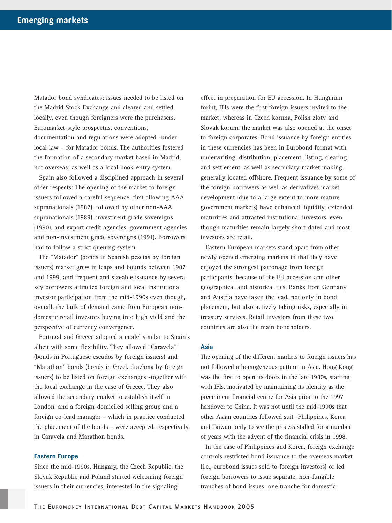Matador bond syndicates; issues needed to be listed on the Madrid Stock Exchange and cleared and settled locally, even though foreigners were the purchasers. Euromarket-style prospectus, conventions, documentation and regulations were adopted -under local law – for Matador bonds. The authorities fostered the formation of a secondary market based in Madrid, not overseas; as well as a local book-entry system.

Spain also followed a disciplined approach in several other respects: The opening of the market to foreign issuers followed a careful sequence, first allowing AAA supranationals (1987), followed by other non-AAA supranationals (1989), investment grade sovereigns (1990), and export credit agencies, government agencies and non-investment grade sovereigns (1991). Borrowers had to follow a strict queuing system.

The "Matador" (bonds in Spanish pesetas by foreign issuers) market grew in leaps and bounds between 1987 and 1999, and frequent and sizeable issuance by several key borrowers attracted foreign and local institutional investor participation from the mid-1990s even though, overall, the bulk of demand came from European nondomestic retail investors buying into high yield and the perspective of currency convergence.

Portugal and Greece adopted a model similar to Spain's albeit with some flexibility. They allowed "Caravela" (bonds in Portuguese escudos by foreign issuers) and "Marathon" bonds (bonds in Greek drachma by foreign issuers) to be listed on foreign exchanges -together with the local exchange in the case of Greece. They also allowed the secondary market to establish itself in London, and a foreign-domiciled selling group and a foreign co-lead manager – which in practice conducted the placement of the bonds – were accepted, respectively, in Caravela and Marathon bonds.

#### **Eastern Europe**

Since the mid-1990s, Hungary, the Czech Republic, the Slovak Republic and Poland started welcoming foreign issuers in their currencies, interested in the signaling

effect in preparation for EU accession. In Hungarian forint, IFIs were the first foreign issuers invited to the market; whereas in Czech koruna, Polish zloty and Slovak koruna the market was also opened at the onset to foreign corporates. Bond issuance by foreign entities in these currencies has been in Eurobond format with underwriting, distribution, placement, listing, clearing and settlement, as well as secondary market making, generally located offshore. Frequent issuance by some of the foreign borrowers as well as derivatives market development (due to a large extent to more mature government markets) have enhanced liquidity, extended maturities and attracted institutional investors, even though maturities remain largely short-dated and most investors are retail.

Eastern European markets stand apart from other newly opened emerging markets in that they have enjoyed the strongest patronage from foreign participants, because of the EU accession and other geographical and historical ties. Banks from Germany and Austria have taken the lead, not only in bond placement, but also actively taking risks, especially in treasury services. Retail investors from these two countries are also the main bondholders.

# **Asia**

The opening of the different markets to foreign issuers has not followed a homogeneous pattern in Asia. Hong Kong was the first to open its doors in the late 1980s, starting with IFIs, motivated by maintaining its identity as the preeminent financial centre for Asia prior to the 1997 handover to China. It was not until the mid-1990s that other Asian countries followed suit -Philippines, Korea and Taiwan, only to see the process stalled for a number of years with the advent of the financial crisis in 1998.

In the case of Philippines and Korea, foreign exchange controls restricted bond issuance to the overseas market (i.e., eurobond issues sold to foreign investors) or led foreign borrowers to issue separate, non-fungible tranches of bond issues: one tranche for domestic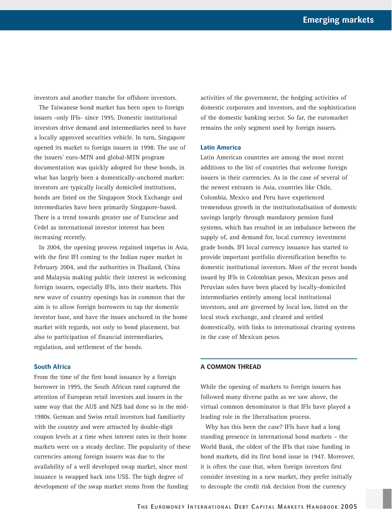investors and another tranche for offshore investors.

The Taiwanese bond market has been open to foreign issuers -only IFIs- since 1995. Domestic institutional investors drive demand and intermediaries need to have a locally approved securities vehicle. In turn, Singapore opened its market to foreign issuers in 1998. The use of the issuers' euro-MTN and global-MTN program documentation was quickly adopted for these bonds, in what has largely been a domestically-anchored market: investors are typically locally domiciled institutions, bonds are listed on the Singapore Stock Exchange and intermediaries have been primarily Singapore-based. There is a trend towards greater use of Euroclear and Cedel as international investor interest has been increasing recently.

In 2004, the opening process regained impetus in Asia, with the first IFI coming to the Indian rupee market in February 2004, and the authorities in Thailand, China and Malaysia making public their interest in welcoming foreign issuers, especially IFIs, into their markets. This new wave of country openings has in common that the aim is to allow foreign borrowers to tap the domestic investor base, and have the issues anchored in the home market with regards, not only to bond placement, but also to participation of financial intermediaries, regulation, and settlement of the bonds.

## **South Africa**

From the time of the first bond issuance by a foreign borrower in 1995, the South African rand captured the attention of European retail investors and issuers in the same way that the AU\$ and NZ\$ had done so in the mid-1980s. German and Swiss retail investors had familiarity with the country and were attracted by double-digit coupon levels at a time when interest rates in their home markets were on a steady decline. The popularity of these currencies among foreign issuers was due to the availability of a well developed swap market, since most issuance is swapped back into US\$. The high degree of development of the swap market stems from the funding

activities of the government, the hedging activities of domestic corporates and investors, and the sophistication of the domestic banking sector. So far, the euromarket remains the only segment used by foreign issuers.

#### **Latin America**

Latin American countries are among the most recent additions to the list of countries that welcome foreign issuers in their currencies. As in the case of several of the newest entrants in Asia, countries like Chile, Colombia, Mexico and Peru have experienced tremendous growth in the institutionalisation of domestic savings largely through mandatory pension fund systems, which has resulted in an imbalance between the supply of, and demand for, local currency investment grade bonds. IFI local currency issuance has started to provide important portfolio diversification benefits to domestic institutional investors. Most of the recent bonds issued by IFIs in Colombian pesos, Mexican pesos and Peruvian soles have been placed by locally-domiciled intermediaries entirely among local institutional investors, and are governed by local law, listed on the local stock exchange, and cleared and settled domestically, with links to international clearing systems in the case of Mexican pesos.

## **A COMMON THREAD**

While the opening of markets to foreign issuers has followed many diverse paths as we saw above, the virtual common denominator is that IFIs have played a leading role in the liberalisation process.

Why has this been the case? IFIs have had a long standing presence in international bond markets – the World Bank, the oldest of the IFIs that raise funding in bond markets, did its first bond issue in 1947. Moreover, it is often the case that, when foreign investors first consider investing in a new market, they prefer initially to decouple the credit risk decision from the currency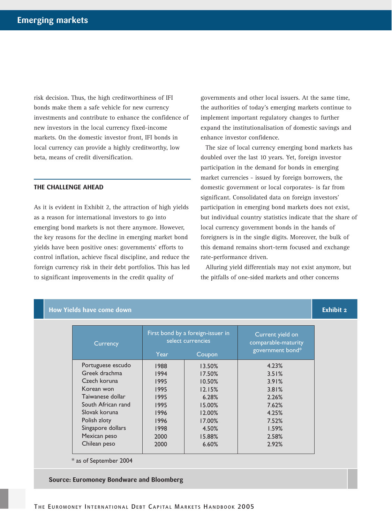risk decision. Thus, the high creditworthiness of IFI bonds make them a safe vehicle for new currency investments and contribute to enhance the confidence of new investors in the local currency fixed-income markets. On the domestic investor front, IFI bonds in local currency can provide a highly creditworthy, low beta, means of credit diversification.

# **THE CHALLENGE AHEAD**

As it is evident in Exhibit 2, the attraction of high yields as a reason for international investors to go into emerging bond markets is not there anymore. However, the key reasons for the decline in emerging market bond yields have been positive ones: governments' efforts to control inflation, achieve fiscal discipline, and reduce the foreign currency risk in their debt portfolios. This has led to significant improvements in the credit quality of

governments and other local issuers. At the same time, the authorities of today's emerging markets continue to implement important regulatory changes to further expand the institutionalisation of domestic savings and enhance investor confidence.

The size of local currency emerging bond markets has doubled over the last 10 years. Yet, foreign investor participation in the demand for bonds in emerging market currencies - issued by foreign borrowers, the domestic government or local corporates- is far from significant. Consolidated data on foreign investors' participation in emerging bond markets does not exist, but individual country statistics indicate that the share of local currency government bonds in the hands of foreigners is in the single digits. Moreover, the bulk of this demand remains short-term focused and exchange rate-performance driven.

Alluring yield differentials may not exist anymore, but the pitfalls of one-sided markets and other concerns

| Currency           | First bond by a foreign-issuer in<br>select currencies |        | Current yield on<br>comparable-maturity |  |
|--------------------|--------------------------------------------------------|--------|-----------------------------------------|--|
|                    | Year                                                   | Coupon | government bond*                        |  |
| Portuguese escudo  | 1988                                                   | 13.50% | 4.23%                                   |  |
| Greek drachma      | 1994                                                   | 17.50% | 3.51%                                   |  |
| Czech koruna       | 1995                                                   | 10.50% | 3.91%                                   |  |
| Korean won         | 1995                                                   | 12.15% | 3.81%                                   |  |
| Taiwanese dollar   | 1995                                                   | 6.28%  | 2.26%                                   |  |
| South African rand | 1995                                                   | 15.00% | 7.62%                                   |  |
| Slovak koruna      | 1996                                                   | 12.00% | 4.25%                                   |  |
| Polish zloty       | 1996                                                   | 17.00% | 7.52%                                   |  |
| Singapore dollars  | 1998                                                   | 4.50%  | 1.59%                                   |  |
| Mexican peso       | 2000                                                   | 15.88% | 2.58%                                   |  |
| Chilean peso       | 2000                                                   | 6.60%  | 2.92%                                   |  |

\* as of September 2004

**Source: Euromoney Bondware and Bloomberg**